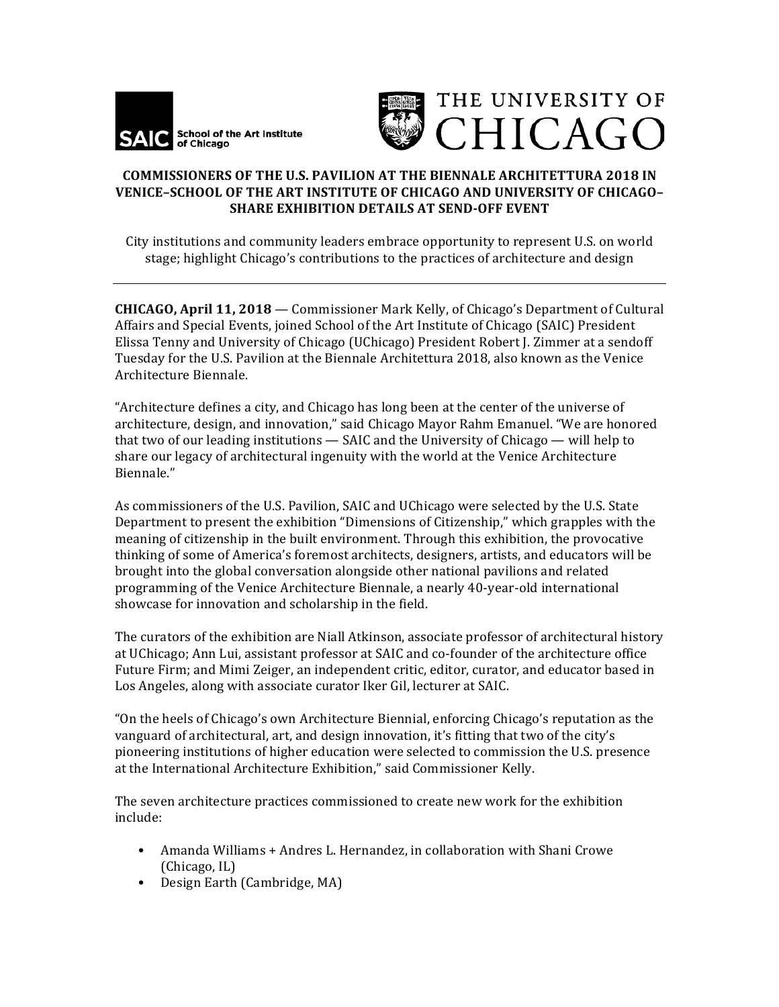



## **COMMISSIONERS OF THE U.S. PAVILION AT THE BIENNALE ARCHITETTURA 2018 IN VENICE-SCHOOL OF THE ART INSTITUTE OF CHICAGO AND UNIVERSITY OF CHICAGO-SHARE EXHIBITION DETAILS AT SEND-OFF EVENT**

City institutions and community leaders embrace opportunity to represent U.S. on world stage; highlight Chicago's contributions to the practices of architecture and design

**CHICAGO, April 11, 2018** — Commissioner Mark Kelly, of Chicago's Department of Cultural Affairs and Special Events, joined School of the Art Institute of Chicago (SAIC) President Elissa Tenny and University of Chicago (UChicago) President Robert J. Zimmer at a sendoff Tuesday for the U.S. Pavilion at the Biennale Architettura 2018, also known as the Venice Architecture Biennale.

"Architecture defines a city, and Chicago has long been at the center of the universe of architecture, design, and innovation," said Chicago Mayor Rahm Emanuel. "We are honored that two of our leading institutions  $-$  SAIC and the University of Chicago  $-$  will help to share our legacy of architectural ingenuity with the world at the Venice Architecture Biennale."

As commissioners of the U.S. Pavilion, SAIC and UChicago were selected by the U.S. State Department to present the exhibition "Dimensions of Citizenship," which grapples with the meaning of citizenship in the built environment. Through this exhibition, the provocative thinking of some of America's foremost architects, designers, artists, and educators will be brought into the global conversation alongside other national pavilions and related programming of the Venice Architecture Biennale, a nearly 40-year-old international showcase for innovation and scholarship in the field.

The curators of the exhibition are Niall Atkinson, associate professor of architectural history at UChicago; Ann Lui, assistant professor at SAIC and co-founder of the architecture office Future Firm; and Mimi Zeiger, an independent critic, editor, curator, and educator based in Los Angeles, along with associate curator Iker Gil, lecturer at SAIC.

"On the heels of Chicago's own Architecture Biennial, enforcing Chicago's reputation as the vanguard of architectural, art, and design innovation, it's fitting that two of the city's pioneering institutions of higher education were selected to commission the U.S. presence at the International Architecture Exhibition," said Commissioner Kelly.

The seven architecture practices commissioned to create new work for the exhibition include:

- Amanda Williams + Andres L. Hernandez, in collaboration with Shani Crowe (Chicago, IL)
- Design Earth (Cambridge, MA)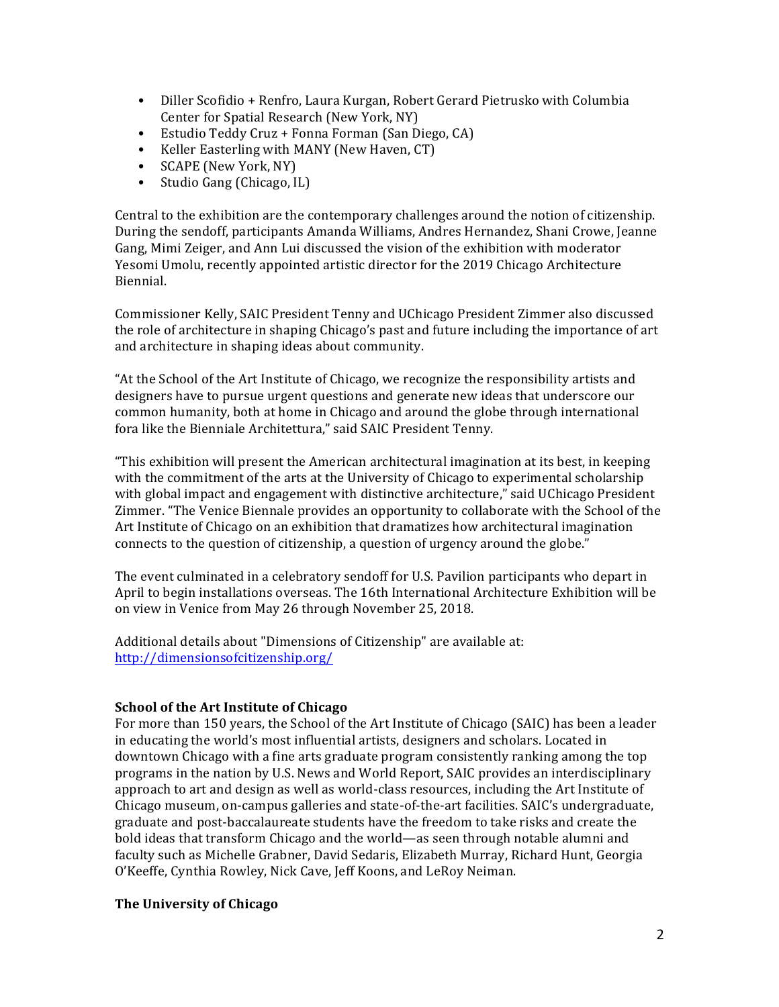- Diller Scofidio + Renfro, Laura Kurgan, Robert Gerard Pietrusko with Columbia Center for Spatial Research (New York, NY)
- Estudio Teddy Cruz + Fonna Forman (San Diego, CA)
- Keller Easterling with MANY (New Haven, CT)
- SCAPE (New York, NY)
- Studio Gang (Chicago, IL)

Central to the exhibition are the contemporary challenges around the notion of citizenship. During the sendoff, participants Amanda Williams, Andres Hernandez, Shani Crowe, Ieanne Gang, Mimi Zeiger, and Ann Lui discussed the vision of the exhibition with moderator Yesomi Umolu, recently appointed artistic director for the 2019 Chicago Architecture Biennial. 

Commissioner Kelly, SAIC President Tenny and UChicago President Zimmer also discussed the role of architecture in shaping Chicago's past and future including the importance of art and architecture in shaping ideas about community.

"At the School of the Art Institute of Chicago, we recognize the responsibility artists and designers have to pursue urgent questions and generate new ideas that underscore our common humanity, both at home in Chicago and around the globe through international fora like the Bienniale Architettura," said SAIC President Tenny.

"This exhibition will present the American architectural imagination at its best, in keeping with the commitment of the arts at the University of Chicago to experimental scholarship with global impact and engagement with distinctive architecture," said UChicago President Zimmer. "The Venice Biennale provides an opportunity to collaborate with the School of the Art Institute of Chicago on an exhibition that dramatizes how architectural imagination connects to the question of citizenship, a question of urgency around the globe."

The event culminated in a celebratory sendoff for U.S. Pavilion participants who depart in April to begin installations overseas. The 16th International Architecture Exhibition will be on view in Venice from May 26 through November 25, 2018.

Additional details about "Dimensions of Citizenship" are available at: http://dimensionsofcitizenship.org/

## **School of the Art Institute of Chicago**

For more than 150 years, the School of the Art Institute of Chicago (SAIC) has been a leader in educating the world's most influential artists, designers and scholars. Located in downtown Chicago with a fine arts graduate program consistently ranking among the top programs in the nation by U.S. News and World Report, SAIC provides an interdisciplinary approach to art and design as well as world-class resources, including the Art Institute of Chicago museum, on-campus galleries and state-of-the-art facilities. SAIC's undergraduate, graduate and post-baccalaureate students have the freedom to take risks and create the bold ideas that transform Chicago and the world—as seen through notable alumni and faculty such as Michelle Grabner, David Sedaris, Elizabeth Murray, Richard Hunt, Georgia O'Keeffe, Cynthia Rowley, Nick Cave, Jeff Koons, and LeRoy Neiman.

## **The University of Chicago**